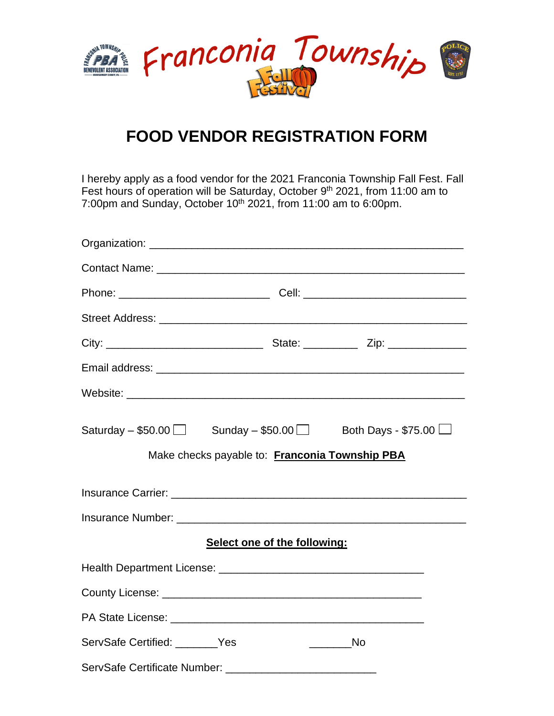

## **FOOD VENDOR REGISTRATION FORM**

I hereby apply as a food vendor for the 2021 Franconia Township Fall Fest. Fall Fest hours of operation will be Saturday, October 9<sup>th</sup> 2021, from 11:00 am to 7:00pm and Sunday, October  $10<sup>th</sup>$  2021, from 11:00 am to 6:00pm.

|                                | Saturday $-$ \$50.00 $\Box$ Sunday $-$ \$50.00 $\Box$ Both Days - \$75.00 $\Box$ |               |
|--------------------------------|----------------------------------------------------------------------------------|---------------|
|                                | Make checks payable to: Franconia Township PBA                                   |               |
|                                |                                                                                  |               |
|                                |                                                                                  |               |
|                                | Select one of the following:                                                     |               |
|                                |                                                                                  |               |
|                                |                                                                                  |               |
|                                |                                                                                  |               |
| ServSafe Certified: _______Yes |                                                                                  | ___________No |
|                                |                                                                                  |               |